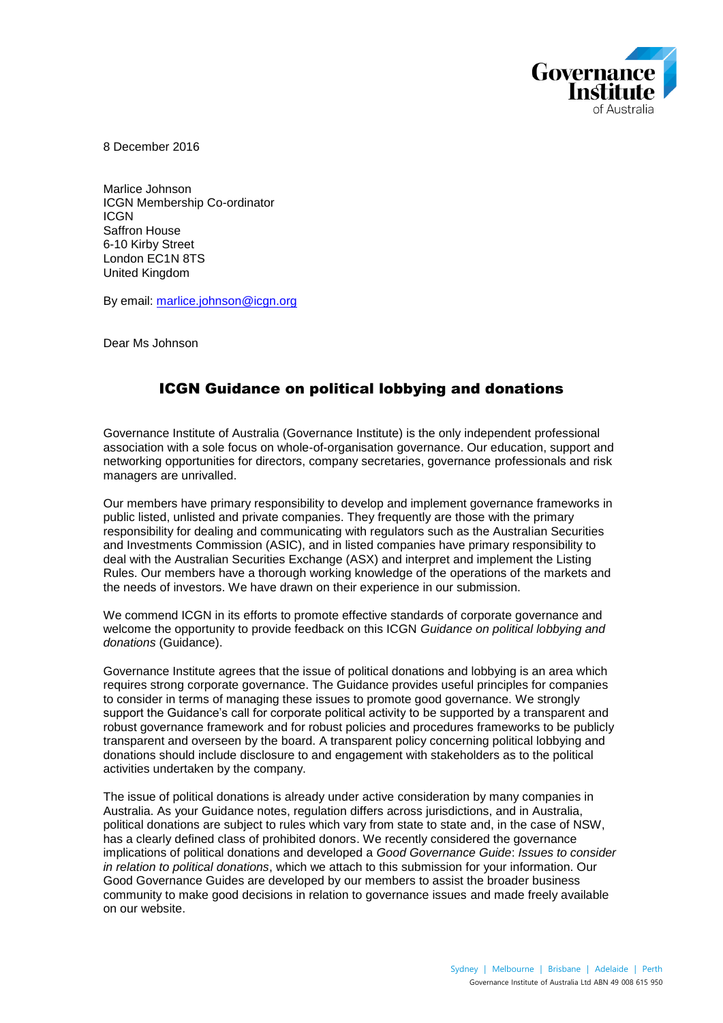

8 December 2016

Marlice Johnson ICGN Membership Co-ordinator **ICGN** Saffron House 6-10 Kirby Street London EC1N 8TS United Kingdom

By email: [marlice.johnson@icgn.org](mailto:marlice.johnson@icgn.org)

Dear Ms Johnson

#### ICGN Guidance on political lobbying and donations

Governance Institute of Australia (Governance Institute) is the only independent professional association with a sole focus on whole-of-organisation governance. Our education, support and networking opportunities for directors, company secretaries, governance professionals and risk managers are unrivalled.

Our members have primary responsibility to develop and implement governance frameworks in public listed, unlisted and private companies. They frequently are those with the primary responsibility for dealing and communicating with regulators such as the Australian Securities and Investments Commission (ASIC), and in listed companies have primary responsibility to deal with the Australian Securities Exchange (ASX) and interpret and implement the Listing Rules. Our members have a thorough working knowledge of the operations of the markets and the needs of investors. We have drawn on their experience in our submission.

We commend ICGN in its efforts to promote effective standards of corporate governance and welcome the opportunity to provide feedback on this ICGN *Guidance on political lobbying and donations* (Guidance).

Governance Institute agrees that the issue of political donations and lobbying is an area which requires strong corporate governance. The Guidance provides useful principles for companies to consider in terms of managing these issues to promote good governance. We strongly support the Guidance's call for corporate political activity to be supported by a transparent and robust governance framework and for robust policies and procedures frameworks to be publicly transparent and overseen by the board. A transparent policy concerning political lobbying and donations should include disclosure to and engagement with stakeholders as to the political activities undertaken by the company.

The issue of political donations is already under active consideration by many companies in Australia. As your Guidance notes, regulation differs across jurisdictions, and in Australia, political donations are subject to rules which vary from state to state and, in the case of NSW, has a clearly defined class of prohibited donors. We recently considered the governance implications of political donations and developed a *Good Governance Guide*: *Issues to consider in relation to political donations*, which we attach to this submission for your information. Our Good Governance Guides are developed by our members to assist the broader business community to make good decisions in relation to governance issues and made freely available on our website.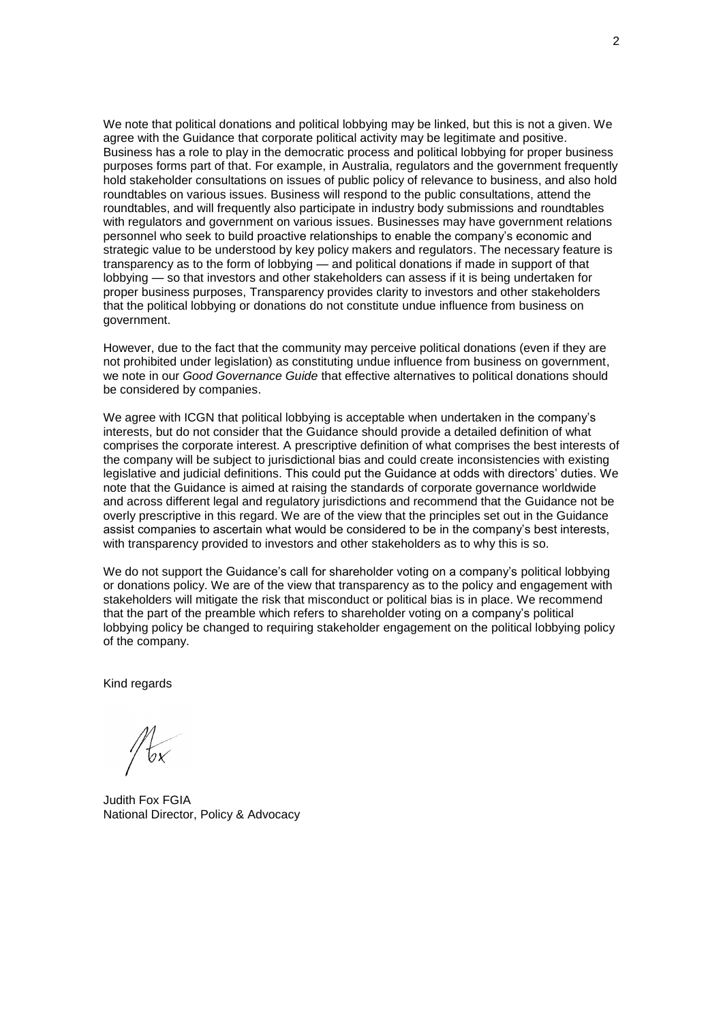We note that political donations and political lobbying may be linked, but this is not a given. We agree with the Guidance that corporate political activity may be legitimate and positive. Business has a role to play in the democratic process and political lobbying for proper business purposes forms part of that. For example, in Australia, regulators and the government frequently hold stakeholder consultations on issues of public policy of relevance to business, and also hold roundtables on various issues. Business will respond to the public consultations, attend the roundtables, and will frequently also participate in industry body submissions and roundtables with regulators and government on various issues. Businesses may have government relations personnel who seek to build proactive relationships to enable the company's economic and strategic value to be understood by key policy makers and regulators. The necessary feature is transparency as to the form of lobbying — and political donations if made in support of that lobbying — so that investors and other stakeholders can assess if it is being undertaken for proper business purposes, Transparency provides clarity to investors and other stakeholders that the political lobbying or donations do not constitute undue influence from business on government.

However, due to the fact that the community may perceive political donations (even if they are not prohibited under legislation) as constituting undue influence from business on government, we note in our *Good Governance Guide* that effective alternatives to political donations should be considered by companies.

We agree with ICGN that political lobbying is acceptable when undertaken in the company's interests, but do not consider that the Guidance should provide a detailed definition of what comprises the corporate interest. A prescriptive definition of what comprises the best interests of the company will be subject to jurisdictional bias and could create inconsistencies with existing legislative and judicial definitions. This could put the Guidance at odds with directors' duties. We note that the Guidance is aimed at raising the standards of corporate governance worldwide and across different legal and regulatory jurisdictions and recommend that the Guidance not be overly prescriptive in this regard. We are of the view that the principles set out in the Guidance assist companies to ascertain what would be considered to be in the company's best interests, with transparency provided to investors and other stakeholders as to why this is so.

We do not support the Guidance's call for shareholder voting on a company's political lobbying or donations policy. We are of the view that transparency as to the policy and engagement with stakeholders will mitigate the risk that misconduct or political bias is in place. We recommend that the part of the preamble which refers to shareholder voting on a company's political lobbying policy be changed to requiring stakeholder engagement on the political lobbying policy of the company.

Kind regards

Judith Fox FGIA National Director, Policy & Advocacy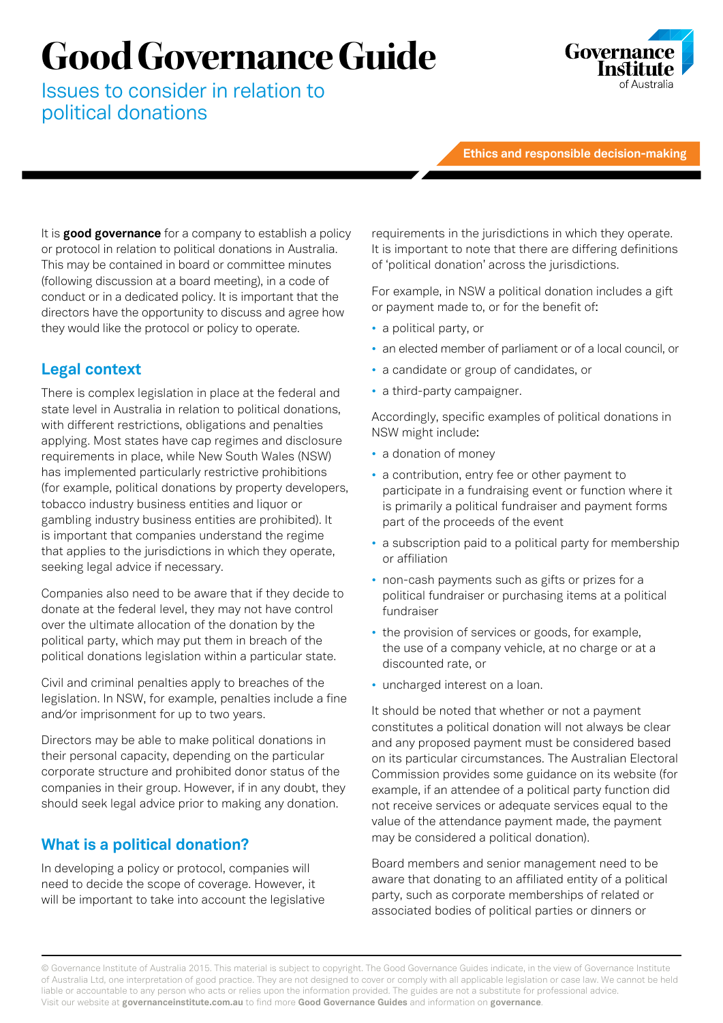# **Good Governance Guide**

Issues to consider in relation to political donations



**Ethics and responsible decision-making**

It is **good governance** for a company to establish a policy or protocol in relation to political donations in Australia. This may be contained in board or committee minutes (following discussion at a board meeting), in a code of conduct or in a dedicated policy. It is important that the directors have the opportunity to discuss and agree how they would like the protocol or policy to operate.

## **Legal context**

There is complex legislation in place at the federal and state level in Australia in relation to political donations, with different restrictions, obligations and penalties applying. Most states have cap regimes and disclosure requirements in place, while New South Wales (NSW) has implemented particularly restrictive prohibitions (for example, political donations by property developers, tobacco industry business entities and liquor or gambling industry business entities are prohibited). It is important that companies understand the regime that applies to the jurisdictions in which they operate, seeking legal advice if necessary.

Companies also need to be aware that if they decide to donate at the federal level, they may not have control over the ultimate allocation of the donation by the political party, which may put them in breach of the political donations legislation within a particular state.

Civil and criminal penalties apply to breaches of the legislation. In NSW, for example, penalties include a fine and/or imprisonment for up to two years.

Directors may be able to make political donations in their personal capacity, depending on the particular corporate structure and prohibited donor status of the companies in their group. However, if in any doubt, they should seek legal advice prior to making any donation.

## **What is a political donation?**

In developing a policy or protocol, companies will need to decide the scope of coverage. However, it will be important to take into account the legislative requirements in the jurisdictions in which they operate. It is important to note that there are differing definitions of 'political donation' across the jurisdictions.

For example, in NSW a political donation includes a gift or payment made to, or for the benefit of:

- a political party, or
- an elected member of parliament or of a local council, or
- a candidate or group of candidates, or
- a third-party campaigner.

Accordingly, specific examples of political donations in NSW might include:

- a donation of money
- a contribution, entry fee or other payment to participate in a fundraising event or function where it is primarily a political fundraiser and payment forms part of the proceeds of the event
- a subscription paid to a political party for membership or affiliation
- non-cash payments such as gifts or prizes for a political fundraiser or purchasing items at a political fundraiser
- the provision of services or goods, for example, the use of a company vehicle, at no charge or at a discounted rate, or
- uncharged interest on a loan.

It should be noted that whether or not a payment constitutes a political donation will not always be clear and any proposed payment must be considered based on its particular circumstances. The Australian Electoral Commission provides some guidance on its website (for example, if an attendee of a political party function did not receive services or adequate services equal to the value of the attendance payment made, the payment may be considered a political donation).

Board members and senior management need to be aware that donating to an affiliated entity of a political party, such as corporate memberships of related or associated bodies of political parties or dinners or

© Governance Institute of Australia 2015. This material is subject to copyright. The Good Governance Guides indicate, in the view of Governance Institute of Australia Ltd, one interpretation of good practice. They are not designed to cover or comply with all applicable legislation or case law. We cannot be held liable or accountable to any person who acts or relies upon the information provided. The guides are not a substitute for professional advice. Visit our website at **governanceinstitute.com.au** to find more **Good Governance Guides** and information on **governance**.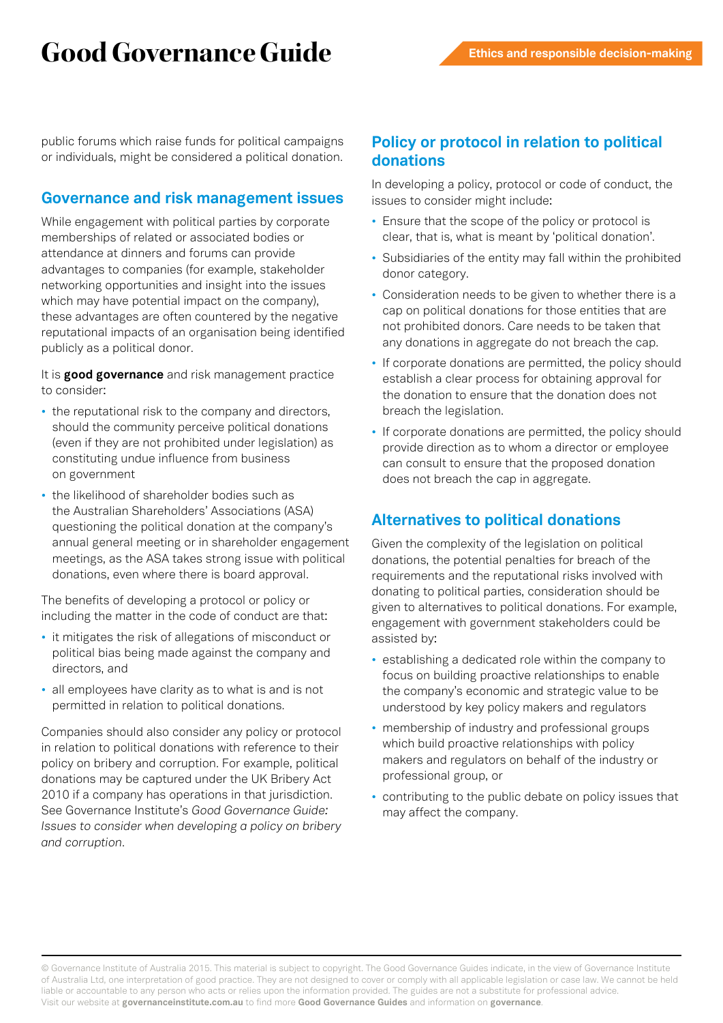# **Good Governance Guide**

public forums which raise funds for political campaigns or individuals, might be considered a political donation.

#### **Governance and risk management issues**

While engagement with political parties by corporate memberships of related or associated bodies or attendance at dinners and forums can provide advantages to companies (for example, stakeholder networking opportunities and insight into the issues which may have potential impact on the company), these advantages are often countered by the negative reputational impacts of an organisation being identified publicly as a political donor.

It is **good governance** and risk management practice to consider:

- the reputational risk to the company and directors, should the community perceive political donations (even if they are not prohibited under legislation) as constituting undue influence from business on government
- the likelihood of shareholder bodies such as the Australian Shareholders' Associations (ASA) questioning the political donation at the company's annual general meeting or in shareholder engagement meetings, as the ASA takes strong issue with political donations, even where there is board approval.

The benefits of developing a protocol or policy or including the matter in the code of conduct are that:

- it mitigates the risk of allegations of misconduct or political bias being made against the company and directors, and
- all employees have clarity as to what is and is not permitted in relation to political donations.

Companies should also consider any policy or protocol in relation to political donations with reference to their policy on bribery and corruption. For example, political donations may be captured under the UK Bribery Act 2010 if a company has operations in that jurisdiction. See Governance Institute's *Good Governance Guide: Issues to consider when developing a policy on bribery and corruption*.

#### **Policy or protocol in relation to political donations**

In developing a policy, protocol or code of conduct, the issues to consider might include:

- Ensure that the scope of the policy or protocol is clear, that is, what is meant by 'political donation'.
- Subsidiaries of the entity may fall within the prohibited donor category.
- Consideration needs to be given to whether there is a cap on political donations for those entities that are not prohibited donors. Care needs to be taken that any donations in aggregate do not breach the cap.
- If corporate donations are permitted, the policy should establish a clear process for obtaining approval for the donation to ensure that the donation does not breach the legislation.
- If corporate donations are permitted, the policy should provide direction as to whom a director or employee can consult to ensure that the proposed donation does not breach the cap in aggregate.

## **Alternatives to political donations**

Given the complexity of the legislation on political donations, the potential penalties for breach of the requirements and the reputational risks involved with donating to political parties, consideration should be given to alternatives to political donations. For example, engagement with government stakeholders could be assisted by:

- establishing a dedicated role within the company to focus on building proactive relationships to enable the company's economic and strategic value to be understood by key policy makers and regulators
- membership of industry and professional groups which build proactive relationships with policy makers and regulators on behalf of the industry or professional group, or
- contributing to the public debate on policy issues that may affect the company.

© Governance Institute of Australia 2015. This material is subject to copyright. The Good Governance Guides indicate, in the view of Governance Institute of Australia Ltd, one interpretation of good practice. They are not designed to cover or comply with all applicable legislation or case law. We cannot be held liable or accountable to any person who acts or relies upon the information provided. The guides are not a substitute for professional advice. Visit our website at **governanceinstitute.com.au** to find more **Good Governance Guides** and information on **governance**.